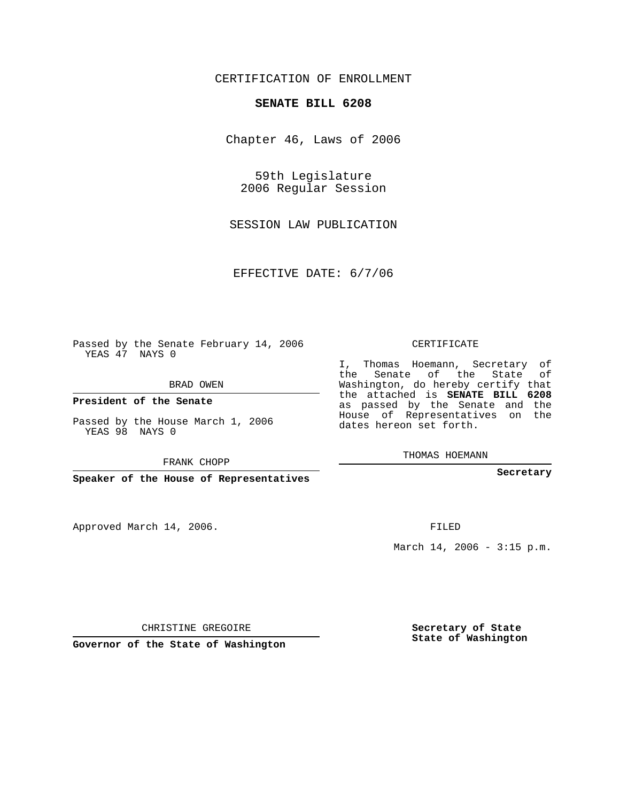## CERTIFICATION OF ENROLLMENT

## **SENATE BILL 6208**

Chapter 46, Laws of 2006

59th Legislature 2006 Regular Session

SESSION LAW PUBLICATION

EFFECTIVE DATE: 6/7/06

Passed by the Senate February 14, 2006 YEAS 47 NAYS 0

BRAD OWEN

**President of the Senate**

Passed by the House March 1, 2006 YEAS 98 NAYS 0

FRANK CHOPP

**Speaker of the House of Representatives**

Approved March 14, 2006.

CERTIFICATE

I, Thomas Hoemann, Secretary of the Senate of the State of Washington, do hereby certify that the attached is **SENATE BILL 6208** as passed by the Senate and the House of Representatives on the dates hereon set forth.

THOMAS HOEMANN

**Secretary**

FILED

March  $14, 2006 - 3:15 p.m.$ 

CHRISTINE GREGOIRE

**Governor of the State of Washington**

**Secretary of State State of Washington**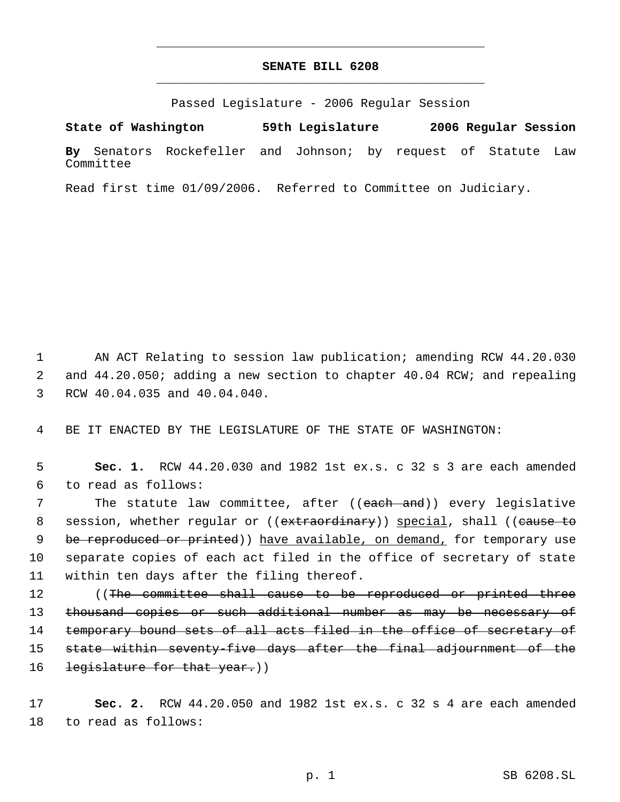## **SENATE BILL 6208** \_\_\_\_\_\_\_\_\_\_\_\_\_\_\_\_\_\_\_\_\_\_\_\_\_\_\_\_\_\_\_\_\_\_\_\_\_\_\_\_\_\_\_\_\_

\_\_\_\_\_\_\_\_\_\_\_\_\_\_\_\_\_\_\_\_\_\_\_\_\_\_\_\_\_\_\_\_\_\_\_\_\_\_\_\_\_\_\_\_\_

Passed Legislature - 2006 Regular Session

**State of Washington 59th Legislature 2006 Regular Session By** Senators Rockefeller and Johnson; by request of Statute Law Committee

Read first time 01/09/2006. Referred to Committee on Judiciary.

 1 AN ACT Relating to session law publication; amending RCW 44.20.030 2 and 44.20.050; adding a new section to chapter 40.04 RCW; and repealing 3 RCW 40.04.035 and 40.04.040.

4 BE IT ENACTED BY THE LEGISLATURE OF THE STATE OF WASHINGTON:

 5 **Sec. 1.** RCW 44.20.030 and 1982 1st ex.s. c 32 s 3 are each amended 6 to read as follows:

 7 The statute law committee, after ((each and)) every legislative 8 session, whether regular or ((extraordinary)) special, shall ((cause to 9 be reproduced or printed)) have available, on demand, for temporary use 10 separate copies of each act filed in the office of secretary of state 11 within ten days after the filing thereof.

12 ((The committee shall cause to be reproduced or printed three 13 thousand copies or such additional number as may be necessary of 14 temporary bound sets of all acts filed in the office of secretary of 15 state within seventy-five days after the final adjournment of the 16 legislature for that year.))

17 **Sec. 2.** RCW 44.20.050 and 1982 1st ex.s. c 32 s 4 are each amended 18 to read as follows: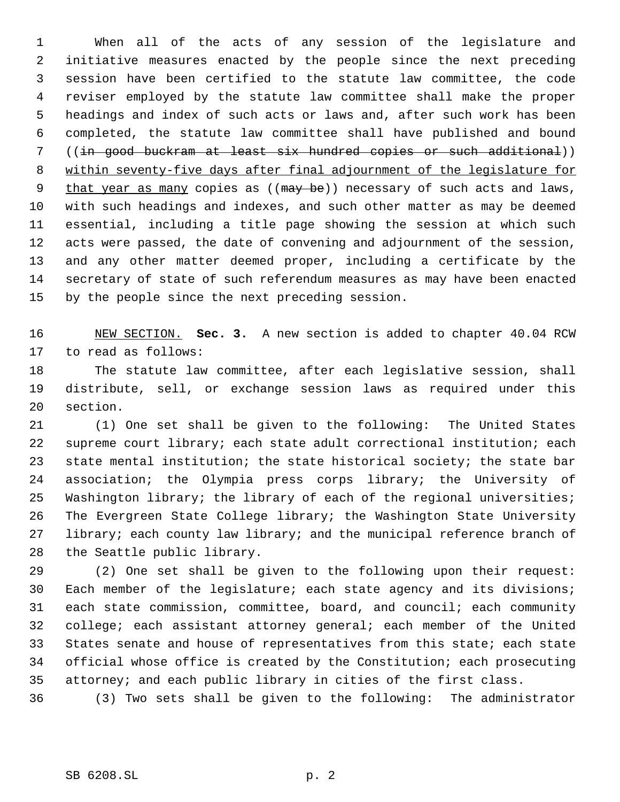When all of the acts of any session of the legislature and initiative measures enacted by the people since the next preceding session have been certified to the statute law committee, the code reviser employed by the statute law committee shall make the proper headings and index of such acts or laws and, after such work has been completed, the statute law committee shall have published and bound ((in good buckram at least six hundred copies or such additional)) within seventy-five days after final adjournment of the legislature for 9 that year as many copies as ((may be)) necessary of such acts and laws, with such headings and indexes, and such other matter as may be deemed essential, including a title page showing the session at which such acts were passed, the date of convening and adjournment of the session, and any other matter deemed proper, including a certificate by the secretary of state of such referendum measures as may have been enacted by the people since the next preceding session.

 NEW SECTION. **Sec. 3.** A new section is added to chapter 40.04 RCW to read as follows:

 The statute law committee, after each legislative session, shall distribute, sell, or exchange session laws as required under this section.

 (1) One set shall be given to the following: The United States supreme court library; each state adult correctional institution; each state mental institution; the state historical society; the state bar association; the Olympia press corps library; the University of Washington library; the library of each of the regional universities; The Evergreen State College library; the Washington State University 27 library; each county law library; and the municipal reference branch of the Seattle public library.

 (2) One set shall be given to the following upon their request: Each member of the legislature; each state agency and its divisions; each state commission, committee, board, and council; each community college; each assistant attorney general; each member of the United States senate and house of representatives from this state; each state official whose office is created by the Constitution; each prosecuting attorney; and each public library in cities of the first class.

(3) Two sets shall be given to the following: The administrator